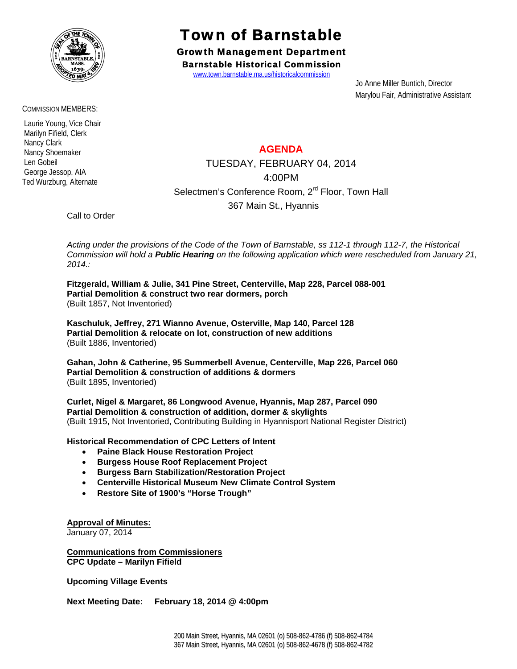

COMMISSION MEMBERS:

 Laurie Young, Vice Chair Marilyn Fifield, Clerk Nancy Clark Nancy Shoemaker Len Gobeil George Jessop, AIA Ted Wurzburg, Alternate

## Town of Barnstable

Growth Management Department Barnstable Historical Commission

www.town.barnstable.ma.us/historicalcommission

 Jo Anne Miller Buntich, Director Marylou Fair, Administrative Assistant

## **AGENDA**

TUESDAY, FEBRUARY 04, 2014 4:00PM Selectmen's Conference Room, 2<sup>rd</sup> Floor, Town Hall 367 Main St., Hyannis

Call to Order

*Acting under the provisions of the Code of the Town of Barnstable, ss 112-1 through 112-7, the Historical Commission will hold a Public Hearing on the following application which were rescheduled from January 21, 2014.:* 

**Fitzgerald, William & Julie, 341 Pine Street, Centerville, Map 228, Parcel 088-001 Partial Demolition & construct two rear dormers, porch**  (Built 1857, Not Inventoried)

**Kaschuluk, Jeffrey, 271 Wianno Avenue, Osterville, Map 140, Parcel 128 Partial Demolition & relocate on lot, construction of new additions**  (Built 1886, Inventoried)

**Gahan, John & Catherine, 95 Summerbell Avenue, Centerville, Map 226, Parcel 060 Partial Demolition & construction of additions & dormers**  (Built 1895, Inventoried)

**Curlet, Nigel & Margaret, 86 Longwood Avenue, Hyannis, Map 287, Parcel 090 Partial Demolition & construction of addition, dormer & skylights**  (Built 1915, Not Inventoried, Contributing Building in Hyannisport National Register District)

**Historical Recommendation of CPC Letters of Intent** 

- **Paine Black House Restoration Project**
- **Burgess House Roof Replacement Project**
- **Burgess Barn Stabilization/Restoration Project**
- **Centerville Historical Museum New Climate Control System**
- **Restore Site of 1900's "Horse Trough"**

**Approval of Minutes:**

January 07, 2014

**Communications from Commissioners CPC Update – Marilyn Fifield** 

**Upcoming Village Events** 

**Next Meeting Date: February 18, 2014 @ 4:00pm**